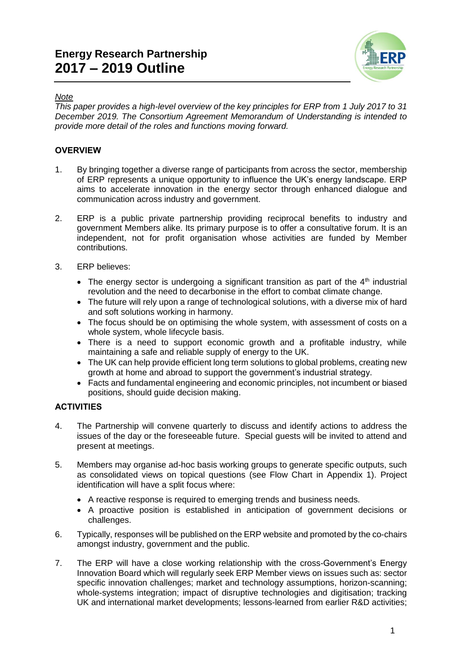# **Energy Research Partnership 2017 – 2019 Outline**



## *Note*

*This paper provides a high-level overview of the key principles for ERP from 1 July 2017 to 31 December 2019. The Consortium Agreement Memorandum of Understanding is intended to provide more detail of the roles and functions moving forward.*

# *OVERVIEW*

- 1. By bringing together a diverse range of participants from across the sector, membership of ERP represents a unique opportunity to influence the UK's energy landscape. ERP aims to accelerate innovation in the energy sector through enhanced dialogue and communication across industry and government.
- 2. ERP is a public private partnership providing reciprocal benefits to industry and government Members alike. Its primary purpose is to offer a consultative forum. It is an independent, not for profit organisation whose activities are funded by Member contributions.
- 3. ERP believes:
	- The energy sector is undergoing a significant transition as part of the  $4<sup>th</sup>$  industrial revolution and the need to decarbonise in the effort to combat climate change.
	- The future will rely upon a range of technological solutions, with a diverse mix of hard and soft solutions working in harmony.
	- The focus should be on optimising the whole system, with assessment of costs on a whole system, whole lifecycle basis.
	- There is a need to support economic growth and a profitable industry, while maintaining a safe and reliable supply of energy to the UK.
	- The UK can help provide efficient long term solutions to global problems, creating new growth at home and abroad to support the government's industrial strategy.
	- Facts and fundamental engineering and economic principles, not incumbent or biased positions, should guide decision making.

#### *ACTIVITIES*

- 4. The Partnership will convene quarterly to discuss and identify actions to address the issues of the day or the foreseeable future. Special guests will be invited to attend and present at meetings.
- 5. Members may organise ad-hoc basis working groups to generate specific outputs, such as consolidated views on topical questions (see Flow Chart in Appendix 1). Project identification will have a split focus where:
	- A reactive response is required to emerging trends and business needs.
	- A proactive position is established in anticipation of government decisions or challenges.
- 6. Typically, responses will be published on the ERP website and promoted by the co-chairs amongst industry, government and the public.
- 7. The ERP will have a close working relationship with the cross-Government's Energy Innovation Board which will regularly seek ERP Member views on issues such as: sector specific innovation challenges; market and technology assumptions, horizon-scanning; whole-systems integration; impact of disruptive technologies and digitisation; tracking UK and international market developments; lessons-learned from earlier R&D activities;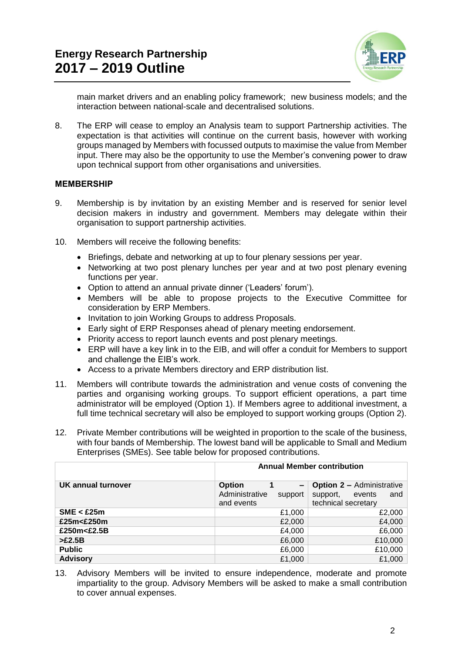

main market drivers and an enabling policy framework; new business models; and the interaction between national-scale and decentralised solutions.

8. The ERP will cease to employ an Analysis team to support Partnership activities. The expectation is that activities will continue on the current basis, however with working groups managed by Members with focussed outputs to maximise the value from Member input. There may also be the opportunity to use the Member's convening power to draw upon technical support from other organisations and universities.

#### *MEMBERSHIP*

- 9. Membership is by invitation by an existing Member and is reserved for senior level decision makers in industry and government. Members may delegate within their organisation to support partnership activities.
- 10. Members will receive the following benefits:
	- Briefings, debate and networking at up to four plenary sessions per year.
	- Networking at two post plenary lunches per year and at two post plenary evening functions per year.
	- Option to attend an annual private dinner ('Leaders' forum').
	- Members will be able to propose projects to the Executive Committee for consideration by ERP Members.
	- Invitation to join Working Groups to address Proposals.
	- Early sight of ERP Responses ahead of plenary meeting endorsement.
	- Priority access to report launch events and post plenary meetings.
	- ERP will have a key link in to the EIB, and will offer a conduit for Members to support and challenge the EIB's work.
	- Access to a private Members directory and ERP distribution list.
- 11. Members will contribute towards the administration and venue costs of convening the parties and organising working groups. To support efficient operations, a part time administrator will be employed (Option 1). If Members agree to additional investment, a full time technical secretary will also be employed to support working groups (Option 2).
- 12. Private Member contributions will be weighted in proportion to the scale of the business, with four bands of Membership. The lowest band will be applicable to Small and Medium Enterprises (SMEs). See table below for proposed contributions.

|                    | <b>Annual Member contribution</b>                                                    |                                                                                      |
|--------------------|--------------------------------------------------------------------------------------|--------------------------------------------------------------------------------------|
| UK annual turnover | <b>Option</b><br>$\overline{\phantom{0}}$<br>Administrative<br>support<br>and events | <b>Option 2 - Administrative</b><br>support,<br>events<br>and<br>technical secretary |
| SME < £25m         | £1,000                                                                               | £2,000                                                                               |
| £25m<£250m         | £2,000                                                                               | £4,000                                                                               |
| £250m<£2.5B        | £4,000                                                                               | £6,000                                                                               |
| >E2.5B             | £6,000                                                                               | £10,000                                                                              |
| <b>Public</b>      | £6,000                                                                               | £10,000                                                                              |
| <b>Advisory</b>    | £1,000                                                                               | £1,000                                                                               |

13. Advisory Members will be invited to ensure independence, moderate and promote impartiality to the group. Advisory Members will be asked to make a small contribution to cover annual expenses.